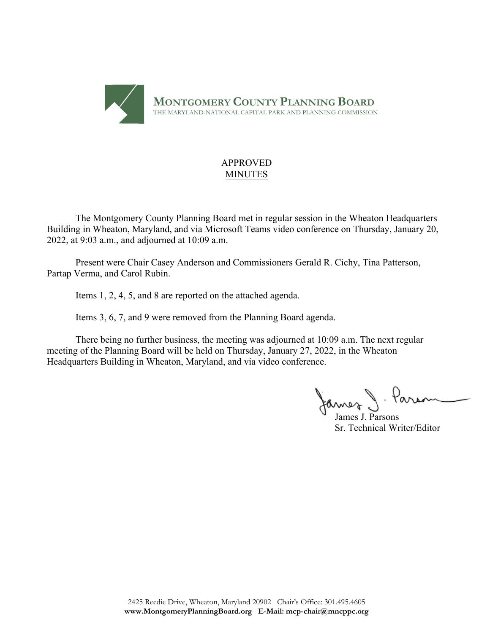

### APPROVED MINUTES

The Montgomery County Planning Board met in regular session in the Wheaton Headquarters Building in Wheaton, Maryland, and via Microsoft Teams video conference on Thursday, January 20, 2022, at 9:03 a.m., and adjourned at 10:09 a.m.

Present were Chair Casey Anderson and Commissioners Gerald R. Cichy, Tina Patterson, Partap Verma, and Carol Rubin.

Items 1, 2, 4, 5, and 8 are reported on the attached agenda.

Items 3, 6, 7, and 9 were removed from the Planning Board agenda.

There being no further business, the meeting was adjourned at 10:09 a.m. The next regular meeting of the Planning Board will be held on Thursday, January 27, 2022, in the Wheaton Headquarters Building in Wheaton, Maryland, and via video conference.

James J. Paran

Sr. Technical Writer/Editor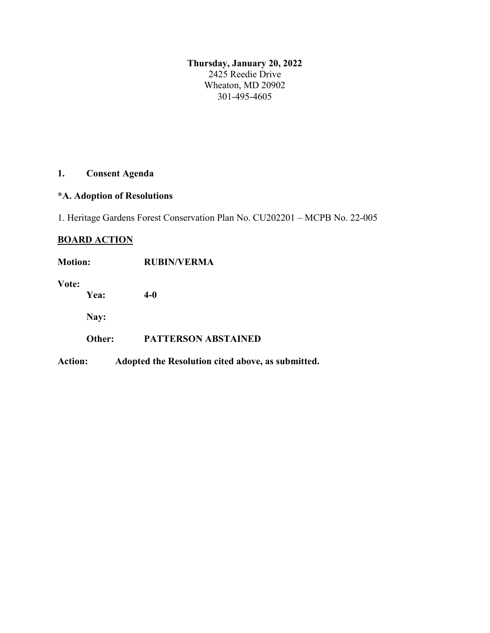**Thursday, January 20, 2022** 2425 Reedie Drive Wheaton, MD 20902 301-495-4605

# **1. Consent Agenda**

### **\*A. Adoption of Resolutions**

1. Heritage Gardens Forest Conservation Plan No. CU202201 – MCPB No. 22-005

### **BOARD ACTION**

| <b>Motion:</b> |        | <b>RUBIN/VERMA</b>                                |
|----------------|--------|---------------------------------------------------|
| Vote:          | Yea:   | $4-0$                                             |
|                | Nay:   |                                                   |
|                | Other: | <b>PATTERSON ABSTAINED</b>                        |
| <b>Action:</b> |        | Adopted the Resolution cited above, as submitted. |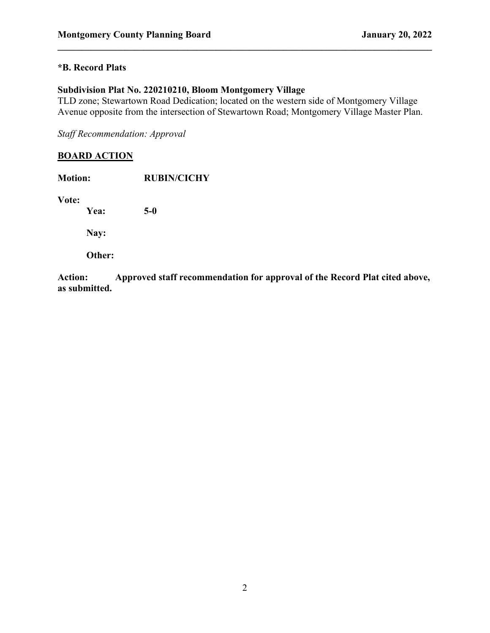### **\*B. Record Plats**

### **Subdivision Plat No. 220210210, Bloom Montgomery Village**

TLD zone; Stewartown Road Dedication; located on the western side of Montgomery Village Avenue opposite from the intersection of Stewartown Road; Montgomery Village Master Plan.

**\_\_\_\_\_\_\_\_\_\_\_\_\_\_\_\_\_\_\_\_\_\_\_\_\_\_\_\_\_\_\_\_\_\_\_\_\_\_\_\_\_\_\_\_\_\_\_\_\_\_\_\_\_\_\_\_\_\_\_\_\_\_\_\_\_\_\_\_\_\_\_\_\_\_\_\_\_\_**

*Staff Recommendation: Approval*

### **BOARD ACTION**

| <b>Motion:</b> | <b>RUBIN/CICHY</b> |  |
|----------------|--------------------|--|
| Vote:<br>Yea:  | $5-0$              |  |
|                |                    |  |
| Nay:           |                    |  |
| Other:         |                    |  |

**Action: Approved staff recommendation for approval of the Record Plat cited above, as submitted.**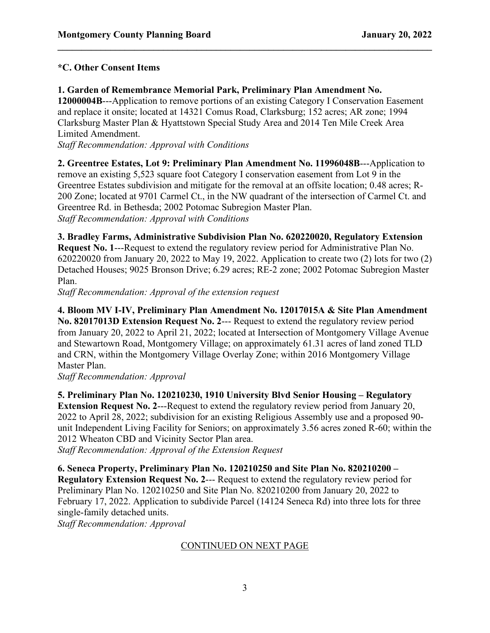### **\*C. Other Consent Items**

### **1. Garden of Remembrance Memorial Park, Preliminary Plan Amendment No.**

**12000004B**---Application to remove portions of an existing Category I Conservation Easement and replace it onsite; located at 14321 Comus Road, Clarksburg; 152 acres; AR zone; 1994 Clarksburg Master Plan & Hyattstown Special Study Area and 2014 Ten Mile Creek Area Limited Amendment.

**\_\_\_\_\_\_\_\_\_\_\_\_\_\_\_\_\_\_\_\_\_\_\_\_\_\_\_\_\_\_\_\_\_\_\_\_\_\_\_\_\_\_\_\_\_\_\_\_\_\_\_\_\_\_\_\_\_\_\_\_\_\_\_\_\_\_\_\_\_\_\_\_\_\_\_\_\_\_**

*Staff Recommendation: Approval with Conditions*

**2. Greentree Estates, Lot 9: Preliminary Plan Amendment No. 11996048B**---Application to remove an existing 5,523 square foot Category I conservation easement from Lot 9 in the Greentree Estates subdivision and mitigate for the removal at an offsite location; 0.48 acres; R-200 Zone; located at 9701 Carmel Ct., in the NW quadrant of the intersection of Carmel Ct. and Greentree Rd. in Bethesda; 2002 Potomac Subregion Master Plan. *Staff Recommendation: Approval with Conditions*

**3. Bradley Farms, Administrative Subdivision Plan No. 620220020, Regulatory Extension Request No. 1**---Request to extend the regulatory review period for Administrative Plan No. 620220020 from January 20, 2022 to May 19, 2022. Application to create two (2) lots for two (2) Detached Houses; 9025 Bronson Drive; 6.29 acres; RE-2 zone; 2002 Potomac Subregion Master Plan.

*Staff Recommendation: Approval of the extension request*

**4. Bloom MV I-IV, Preliminary Plan Amendment No. 12017015A & Site Plan Amendment No. 82017013D Extension Request No. 2**--- Request to extend the regulatory review period from January 20, 2022 to April 21, 2022; located at Intersection of Montgomery Village Avenue and Stewartown Road, Montgomery Village; on approximately 61.31 acres of land zoned TLD and CRN, within the Montgomery Village Overlay Zone; within 2016 Montgomery Village Master Plan.

*Staff Recommendation: Approval*

**5. Preliminary Plan No. 120210230, 1910 University Blvd Senior Housing – Regulatory Extension Request No. 2---Request to extend the regulatory review period from January 20,** 2022 to April 28, 2022; subdivision for an existing Religious Assembly use and a proposed 90 unit Independent Living Facility for Seniors; on approximately 3.56 acres zoned R-60; within the 2012 Wheaton CBD and Vicinity Sector Plan area.

*Staff Recommendation: Approval of the Extension Request*

**6. Seneca Property, Preliminary Plan No. 120210250 and Site Plan No. 820210200 – Regulatory Extension Request No. 2**--- Request to extend the regulatory review period for Preliminary Plan No. 120210250 and Site Plan No. 820210200 from January 20, 2022 to February 17, 2022. Application to subdivide Parcel (14124 Seneca Rd) into three lots for three single-family detached units.

*Staff Recommendation: Approval*

### CONTINUED ON NEXT PAGE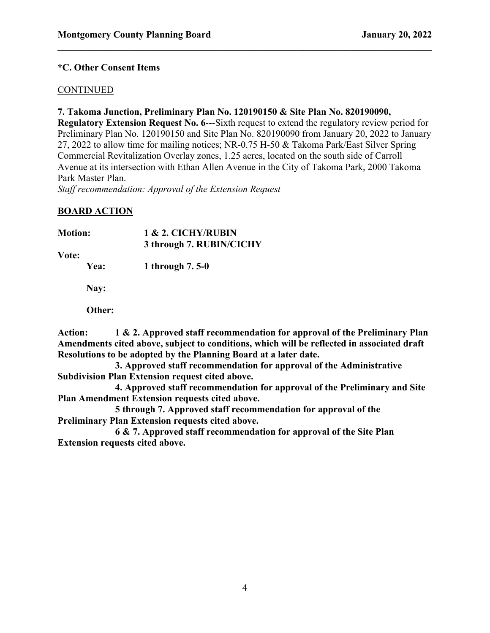### **\*C. Other Consent Items**

### **CONTINUED**

### **7. Takoma Junction, Preliminary Plan No. 120190150 & Site Plan No. 820190090,**

**Regulatory Extension Request No. 6---Sixth request to extend the regulatory review period for** Preliminary Plan No. 120190150 and Site Plan No. 820190090 from January 20, 2022 to January 27, 2022 to allow time for mailing notices; NR-0.75 H-50 & Takoma Park/East Silver Spring Commercial Revitalization Overlay zones, 1.25 acres, located on the south side of Carroll Avenue at its intersection with Ethan Allen Avenue in the City of Takoma Park, 2000 Takoma Park Master Plan.

**\_\_\_\_\_\_\_\_\_\_\_\_\_\_\_\_\_\_\_\_\_\_\_\_\_\_\_\_\_\_\_\_\_\_\_\_\_\_\_\_\_\_\_\_\_\_\_\_\_\_\_\_\_\_\_\_\_\_\_\_\_\_\_\_\_\_\_\_\_\_\_\_\_\_\_\_\_\_**

*Staff recommendation: Approval of the Extension Request*

### **BOARD ACTION**

| <b>Motion:</b> | 1 & 2. CICHY/RUBIN<br>3 through 7. RUBIN/CICHY |  |
|----------------|------------------------------------------------|--|
| Vote:          |                                                |  |
| <b>Yea:</b>    | 1 through 7.5-0                                |  |
| Nay:           |                                                |  |

**Other:** 

**Action: 1 & 2. Approved staff recommendation for approval of the Preliminary Plan Amendments cited above, subject to conditions, which will be reflected in associated draft Resolutions to be adopted by the Planning Board at a later date.**

**3. Approved staff recommendation for approval of the Administrative Subdivision Plan Extension request cited above.**

**4. Approved staff recommendation for approval of the Preliminary and Site Plan Amendment Extension requests cited above.**

**5 through 7. Approved staff recommendation for approval of the Preliminary Plan Extension requests cited above.**

**6 & 7. Approved staff recommendation for approval of the Site Plan Extension requests cited above.**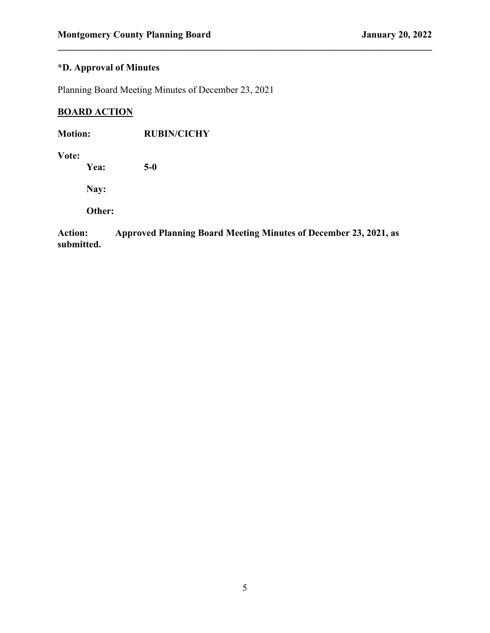## **\*D. Approval of Minutes**

Planning Board Meeting Minutes of December 23, 2021

## **BOARD ACTION**

| <b>Motion:</b> | <b>RUBIN/CICHY</b> |
|----------------|--------------------|
|                |                    |

**Vote:**

**Yea: 5-0**

**Nay:** 

**Other:** 

**Action: Approved Planning Board Meeting Minutes of December 23, 2021, as submitted.**

**\_\_\_\_\_\_\_\_\_\_\_\_\_\_\_\_\_\_\_\_\_\_\_\_\_\_\_\_\_\_\_\_\_\_\_\_\_\_\_\_\_\_\_\_\_\_\_\_\_\_\_\_\_\_\_\_\_\_\_\_\_\_\_\_\_\_\_\_\_\_\_\_\_\_\_\_\_\_**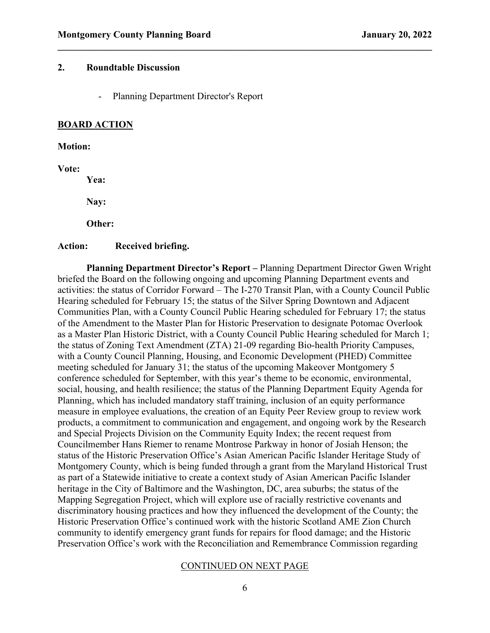### **2. Roundtable Discussion**

- Planning Department Director's Report

#### **BOARD ACTION**

#### **Motion:**

**Vote:**

**Yea:** 

**Nay:** 

**Other:** 

#### **Action: Received briefing.**

**Planning Department Director's Report –** Planning Department Director Gwen Wright briefed the Board on the following ongoing and upcoming Planning Department events and activities: the status of Corridor Forward – The I-270 Transit Plan, with a County Council Public Hearing scheduled for February 15; the status of the Silver Spring Downtown and Adjacent Communities Plan, with a County Council Public Hearing scheduled for February 17; the status of the Amendment to the Master Plan for Historic Preservation to designate Potomac Overlook as a Master Plan Historic District, with a County Council Public Hearing scheduled for March 1; the status of Zoning Text Amendment (ZTA) 21-09 regarding Bio-health Priority Campuses, with a County Council Planning, Housing, and Economic Development (PHED) Committee meeting scheduled for January 31; the status of the upcoming Makeover Montgomery 5 conference scheduled for September, with this year's theme to be economic, environmental, social, housing, and health resilience; the status of the Planning Department Equity Agenda for Planning, which has included mandatory staff training, inclusion of an equity performance measure in employee evaluations, the creation of an Equity Peer Review group to review work products, a commitment to communication and engagement, and ongoing work by the Research and Special Projects Division on the Community Equity Index; the recent request from Councilmember Hans Riemer to rename Montrose Parkway in honor of Josiah Henson; the status of the Historic Preservation Office's Asian American Pacific Islander Heritage Study of Montgomery County, which is being funded through a grant from the Maryland Historical Trust as part of a Statewide initiative to create a context study of Asian American Pacific Islander heritage in the City of Baltimore and the Washington, DC, area suburbs; the status of the Mapping Segregation Project, which will explore use of racially restrictive covenants and discriminatory housing practices and how they influenced the development of the County; the Historic Preservation Office's continued work with the historic Scotland AME Zion Church community to identify emergency grant funds for repairs for flood damage; and the Historic Preservation Office's work with the Reconciliation and Remembrance Commission regarding

**\_\_\_\_\_\_\_\_\_\_\_\_\_\_\_\_\_\_\_\_\_\_\_\_\_\_\_\_\_\_\_\_\_\_\_\_\_\_\_\_\_\_\_\_\_\_\_\_\_\_\_\_\_\_\_\_\_\_\_\_\_\_\_\_\_\_\_\_\_\_\_\_\_\_\_\_\_\_**

#### CONTINUED ON NEXT PAGE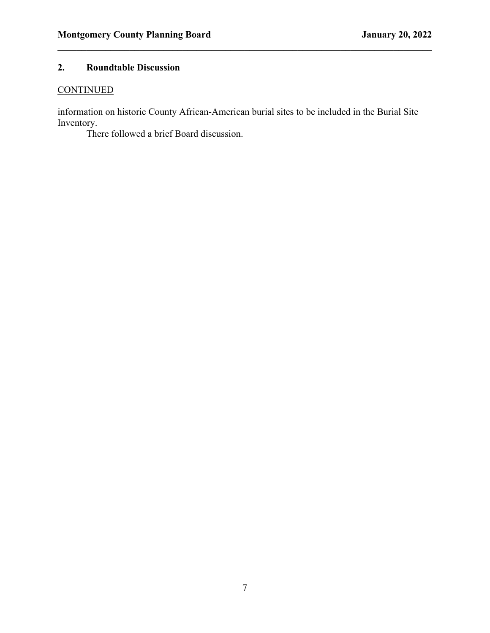## **2. Roundtable Discussion**

## **CONTINUED**

information on historic County African-American burial sites to be included in the Burial Site Inventory.

**\_\_\_\_\_\_\_\_\_\_\_\_\_\_\_\_\_\_\_\_\_\_\_\_\_\_\_\_\_\_\_\_\_\_\_\_\_\_\_\_\_\_\_\_\_\_\_\_\_\_\_\_\_\_\_\_\_\_\_\_\_\_\_\_\_\_\_\_\_\_\_\_\_\_\_\_\_\_**

There followed a brief Board discussion.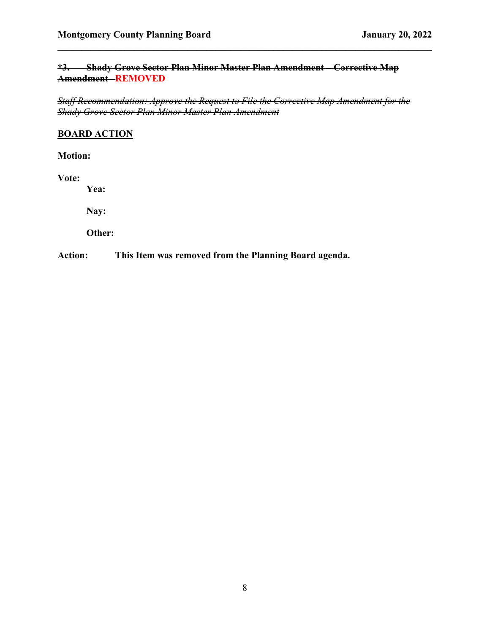### **\*3. Shady Grove Sector Plan Minor Master Plan Amendment – Corrective Map Amendment REMOVED**

**\_\_\_\_\_\_\_\_\_\_\_\_\_\_\_\_\_\_\_\_\_\_\_\_\_\_\_\_\_\_\_\_\_\_\_\_\_\_\_\_\_\_\_\_\_\_\_\_\_\_\_\_\_\_\_\_\_\_\_\_\_\_\_\_\_\_\_\_\_\_\_\_\_\_\_\_\_\_**

*Staff Recommendation: Approve the Request to File the Corrective Map Amendment for the Shady Grove Sector Plan Minor Master Plan Amendment*

### **BOARD ACTION**

**Motion:** 

**Vote:**

**Yea:** 

**Nay:** 

**Other:**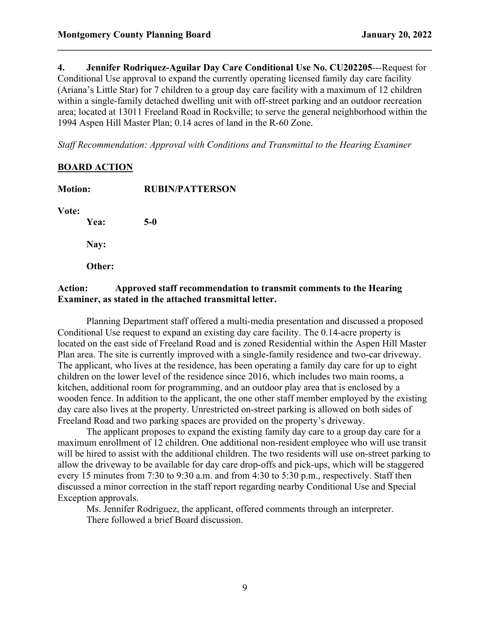**4. Jennifer Rodriquez-Aguilar Day Care Conditional Use No. CU202205**---Request for Conditional Use approval to expand the currently operating licensed family day care facility (Ariana's Little Star) for 7 children to a group day care facility with a maximum of 12 children within a single-family detached dwelling unit with off-street parking and an outdoor recreation area; located at 13011 Freeland Road in Rockville; to serve the general neighborhood within the 1994 Aspen Hill Master Plan; 0.14 acres of land in the R-60 Zone.

**\_\_\_\_\_\_\_\_\_\_\_\_\_\_\_\_\_\_\_\_\_\_\_\_\_\_\_\_\_\_\_\_\_\_\_\_\_\_\_\_\_\_\_\_\_\_\_\_\_\_\_\_\_\_\_\_\_\_\_\_\_\_\_\_\_\_\_\_\_\_\_\_\_\_\_\_\_\_**

*Staff Recommendation: Approval with Conditions and Transmittal to the Hearing Examiner*

### **BOARD ACTION**

| <b>Motion:</b> |        | <b>RUBIN/PATTERSON</b> |  |
|----------------|--------|------------------------|--|
| Vote:          |        |                        |  |
|                | Yea:   | $5-0$                  |  |
|                | Nay:   |                        |  |
|                | Other: |                        |  |
|                |        |                        |  |

### **Action: Approved staff recommendation to transmit comments to the Hearing Examiner, as stated in the attached transmittal letter.**

Planning Department staff offered a multi-media presentation and discussed a proposed Conditional Use request to expand an existing day care facility. The 0.14-acre property is located on the east side of Freeland Road and is zoned Residential within the Aspen Hill Master Plan area. The site is currently improved with a single-family residence and two-car driveway. The applicant, who lives at the residence, has been operating a family day care for up to eight children on the lower level of the residence since 2016, which includes two main rooms, a kitchen, additional room for programming, and an outdoor play area that is enclosed by a wooden fence. In addition to the applicant, the one other staff member employed by the existing day care also lives at the property. Unrestricted on-street parking is allowed on both sides of Freeland Road and two parking spaces are provided on the property's driveway.

The applicant proposes to expand the existing family day care to a group day care for a maximum enrollment of 12 children. One additional non-resident employee who will use transit will be hired to assist with the additional children. The two residents will use on-street parking to allow the driveway to be available for day care drop-offs and pick-ups, which will be staggered every 15 minutes from 7:30 to 9:30 a.m. and from 4:30 to 5:30 p.m., respectively. Staff then discussed a minor correction in the staff report regarding nearby Conditional Use and Special Exception approvals.

Ms. Jennifer Rodriguez, the applicant, offered comments through an interpreter. There followed a brief Board discussion.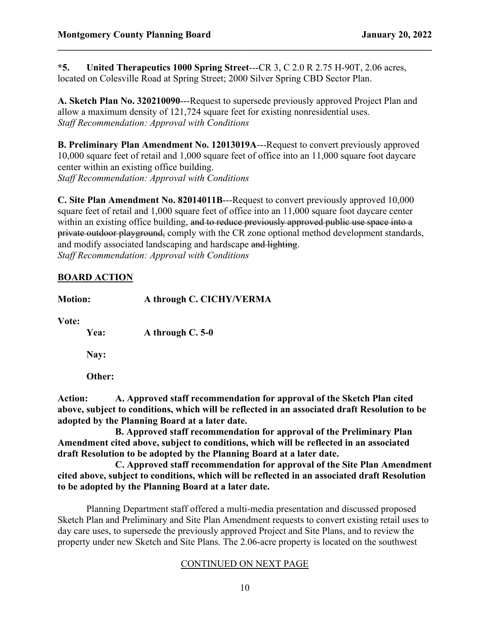**\*5. United Therapeutics 1000 Spring Street**---CR 3, C 2.0 R 2.75 H-90T, 2.06 acres, located on Colesville Road at Spring Street; 2000 Silver Spring CBD Sector Plan.

**\_\_\_\_\_\_\_\_\_\_\_\_\_\_\_\_\_\_\_\_\_\_\_\_\_\_\_\_\_\_\_\_\_\_\_\_\_\_\_\_\_\_\_\_\_\_\_\_\_\_\_\_\_\_\_\_\_\_\_\_\_\_\_\_\_\_\_\_\_\_\_\_\_\_\_\_\_\_**

**A. Sketch Plan No. 320210090**---Request to supersede previously approved Project Plan and allow a maximum density of 121,724 square feet for existing nonresidential uses. *Staff Recommendation: Approval with Conditions*

**B. Preliminary Plan Amendment No. 12013019A**---Request to convert previously approved 10,000 square feet of retail and 1,000 square feet of office into an 11,000 square foot daycare center within an existing office building. *Staff Recommendation: Approval with Conditions*

**C. Site Plan Amendment No. 82014011B**---Request to convert previously approved 10,000 square feet of retail and 1,000 square feet of office into an 11,000 square foot daycare center within an existing office building, and to reduce previously approved public use space into a private outdoor playground, comply with the CR zone optional method development standards, and modify associated landscaping and hardscape and lighting. *Staff Recommendation: Approval with Conditions*

### **BOARD ACTION**

**Motion: A through C. CICHY/VERMA**

**Vote:**

**Yea: A through C. 5-0** 

**Nay:** 

**Other:** 

**Action: A. Approved staff recommendation for approval of the Sketch Plan cited above, subject to conditions, which will be reflected in an associated draft Resolution to be adopted by the Planning Board at a later date.** 

**B. Approved staff recommendation for approval of the Preliminary Plan Amendment cited above, subject to conditions, which will be reflected in an associated draft Resolution to be adopted by the Planning Board at a later date.** 

**C. Approved staff recommendation for approval of the Site Plan Amendment cited above, subject to conditions, which will be reflected in an associated draft Resolution to be adopted by the Planning Board at a later date.**

Planning Department staff offered a multi-media presentation and discussed proposed Sketch Plan and Preliminary and Site Plan Amendment requests to convert existing retail uses to day care uses, to supersede the previously approved Project and Site Plans, and to review the property under new Sketch and Site Plans. The 2.06-acre property is located on the southwest

### CONTINUED ON NEXT PAGE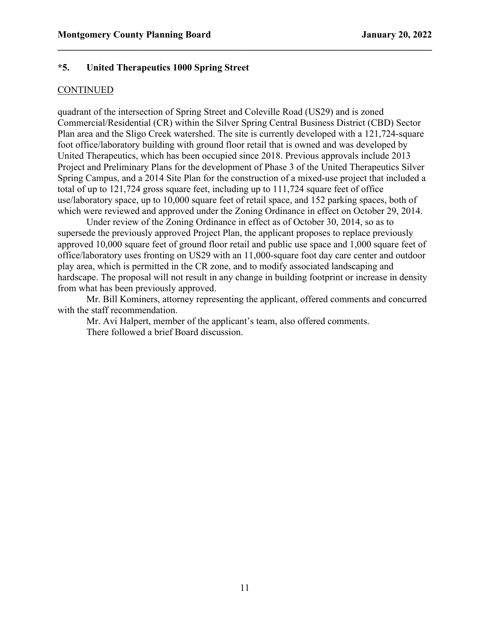### **\*5. United Therapeutics 1000 Spring Street**

#### **CONTINUED**

quadrant of the intersection of Spring Street and Coleville Road (US29) and is zoned Commercial/Residential (CR) within the Silver Spring Central Business District (CBD) Sector Plan area and the Sligo Creek watershed. The site is currently developed with a 121,724-square foot office/laboratory building with ground floor retail that is owned and was developed by United Therapeutics, which has been occupied since 2018. Previous approvals include 2013 Project and Preliminary Plans for the development of Phase 3 of the United Therapeutics Silver Spring Campus, and a 2014 Site Plan for the construction of a mixed-use project that included a total of up to 121,724 gross square feet, including up to 111,724 square feet of office use/laboratory space, up to 10,000 square feet of retail space, and 152 parking spaces, both of which were reviewed and approved under the Zoning Ordinance in effect on October 29, 2014.

**\_\_\_\_\_\_\_\_\_\_\_\_\_\_\_\_\_\_\_\_\_\_\_\_\_\_\_\_\_\_\_\_\_\_\_\_\_\_\_\_\_\_\_\_\_\_\_\_\_\_\_\_\_\_\_\_\_\_\_\_\_\_\_\_\_\_\_\_\_\_\_\_\_\_\_\_\_\_**

Under review of the Zoning Ordinance in effect as of October 30, 2014, so as to supersede the previously approved Project Plan, the applicant proposes to replace previously approved 10,000 square feet of ground floor retail and public use space and 1,000 square feet of office/laboratory uses fronting on US29 with an 11,000-square foot day care center and outdoor play area, which is permitted in the CR zone, and to modify associated landscaping and hardscape. The proposal will not result in any change in building footprint or increase in density from what has been previously approved.

Mr. Bill Kominers, attorney representing the applicant, offered comments and concurred with the staff recommendation.

Mr. Avi Halpert, member of the applicant's team, also offered comments. There followed a brief Board discussion.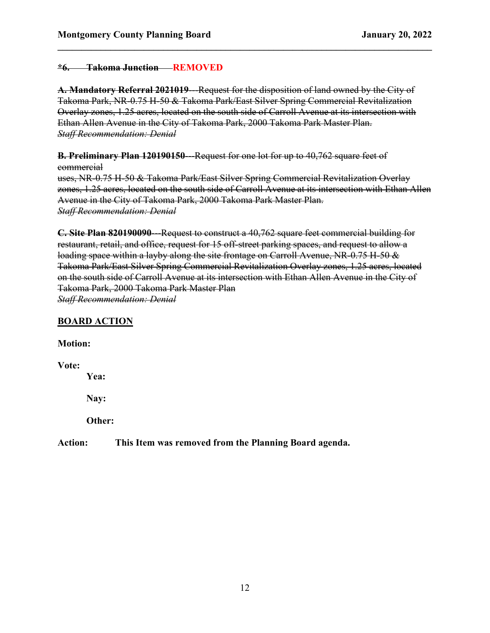### **\*6. Takoma Junction REMOVED**

A. Mandatory Referral 2021019—Request for the disposition of land owned by the City of Takoma Park, NR-0.75 H-50 & Takoma Park/East Silver Spring Commercial Revitalization Overlay zones, 1.25 acres, located on the south side of Carroll Avenue at its intersection with Ethan Allen Avenue in the City of Takoma Park, 2000 Takoma Park Master Plan. *Staff Recommendation: Denial*

**\_\_\_\_\_\_\_\_\_\_\_\_\_\_\_\_\_\_\_\_\_\_\_\_\_\_\_\_\_\_\_\_\_\_\_\_\_\_\_\_\_\_\_\_\_\_\_\_\_\_\_\_\_\_\_\_\_\_\_\_\_\_\_\_\_\_\_\_\_\_\_\_\_\_\_\_\_\_**

**B. Preliminary Plan 120190150**---Request for one lot for up to 40,762 square feet of commercial

uses, NR-0.75 H-50 & Takoma Park/East Silver Spring Commercial Revitalization Overlay zones, 1.25 acres, located on the south side of Carroll Avenue at its intersection with Ethan Allen Avenue in the City of Takoma Park, 2000 Takoma Park Master Plan. *Staff Recommendation: Denial*

**C. Site Plan 820190090—Request to construct a 40,762 square feet commercial building for** restaurant, retail, and office, request for 15 off-street parking spaces, and request to allow a loading space within a layby along the site frontage on Carroll Avenue, NR-0.75 H-50 & Takoma Park/East Silver Spring Commercial Revitalization Overlay zones, 1.25 acres, located on the south side of Carroll Avenue at its intersection with Ethan Allen Avenue in the City of Takoma Park, 2000 Takoma Park Master Plan *Staff Recommendation: Denial*

### **BOARD ACTION**

**Motion:**

**Vote:**

**Yea:**

**Nay:**

**Other:**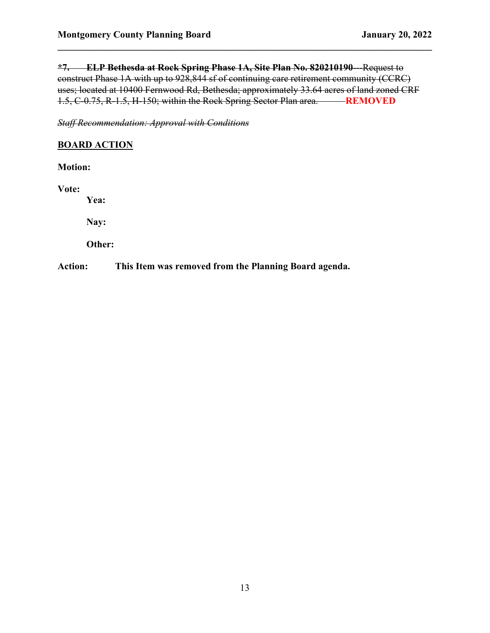**\*7. ELP Bethesda at Rock Spring Phase 1A, Site Plan No. 820210190**---Request to construct Phase 1A with up to 928,844 sf of continuing care retirement community (CCRC) uses; located at 10400 Fernwood Rd, Bethesda; approximately 33.64 acres of land zoned CRF 1.5, C-0.75, R-1.5, H-150; within the Rock Spring Sector Plan area. **REMOVED**

**\_\_\_\_\_\_\_\_\_\_\_\_\_\_\_\_\_\_\_\_\_\_\_\_\_\_\_\_\_\_\_\_\_\_\_\_\_\_\_\_\_\_\_\_\_\_\_\_\_\_\_\_\_\_\_\_\_\_\_\_\_\_\_\_\_\_\_\_\_\_\_\_\_\_\_\_\_\_**

*Staff Recommendation: Approval with Conditions*

### **BOARD ACTION**

**Motion:**

**Vote:**

**Yea:**

**Nay:**

**Other:**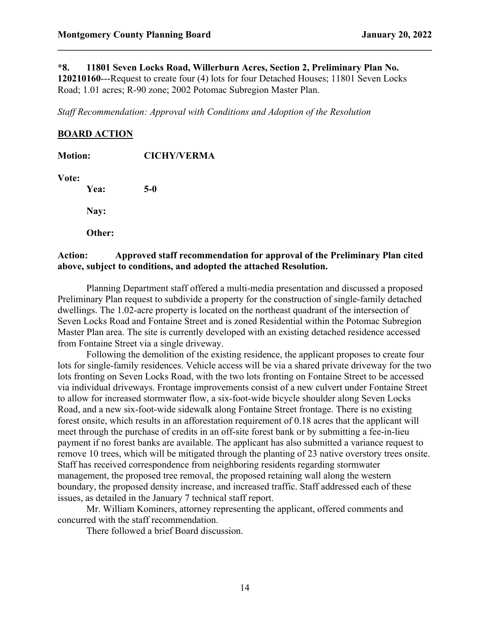#### **\*8. 11801 Seven Locks Road, Willerburn Acres, Section 2, Preliminary Plan No.**

**120210160**---Request to create four (4) lots for four Detached Houses; 11801 Seven Locks Road; 1.01 acres; R-90 zone; 2002 Potomac Subregion Master Plan.

**\_\_\_\_\_\_\_\_\_\_\_\_\_\_\_\_\_\_\_\_\_\_\_\_\_\_\_\_\_\_\_\_\_\_\_\_\_\_\_\_\_\_\_\_\_\_\_\_\_\_\_\_\_\_\_\_\_\_\_\_\_\_\_\_\_\_\_\_\_\_\_\_\_\_\_\_\_\_**

*Staff Recommendation: Approval with Conditions and Adoption of the Resolution*

### **BOARD ACTION**

| <b>Motion:</b> |        | <b>CICHY/VERMA</b> |  |
|----------------|--------|--------------------|--|
| Vote:          | Yea:   | $5-0$              |  |
|                | Nay:   |                    |  |
|                | Other: |                    |  |
|                |        |                    |  |

### **Action: Approved staff recommendation for approval of the Preliminary Plan cited above, subject to conditions, and adopted the attached Resolution.**

Planning Department staff offered a multi-media presentation and discussed a proposed Preliminary Plan request to subdivide a property for the construction of single-family detached dwellings. The 1.02-acre property is located on the northeast quadrant of the intersection of Seven Locks Road and Fontaine Street and is zoned Residential within the Potomac Subregion Master Plan area. The site is currently developed with an existing detached residence accessed from Fontaine Street via a single driveway.

Following the demolition of the existing residence, the applicant proposes to create four lots for single-family residences. Vehicle access will be via a shared private driveway for the two lots fronting on Seven Locks Road, with the two lots fronting on Fontaine Street to be accessed via individual driveways. Frontage improvements consist of a new culvert under Fontaine Street to allow for increased stormwater flow, a six-foot-wide bicycle shoulder along Seven Locks Road, and a new six-foot-wide sidewalk along Fontaine Street frontage. There is no existing forest onsite, which results in an afforestation requirement of 0.18 acres that the applicant will meet through the purchase of credits in an off-site forest bank or by submitting a fee-in-lieu payment if no forest banks are available. The applicant has also submitted a variance request to remove 10 trees, which will be mitigated through the planting of 23 native overstory trees onsite. Staff has received correspondence from neighboring residents regarding stormwater management, the proposed tree removal, the proposed retaining wall along the western boundary, the proposed density increase, and increased traffic. Staff addressed each of these issues, as detailed in the January 7 technical staff report.

Mr. William Kominers, attorney representing the applicant, offered comments and concurred with the staff recommendation.

There followed a brief Board discussion.